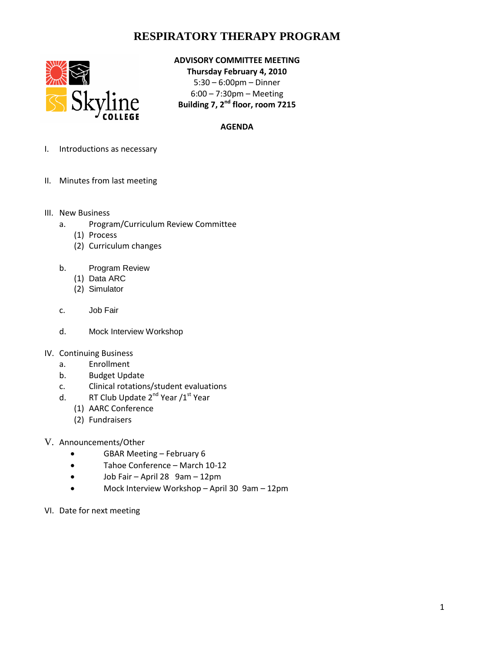## **RESPIRATORY THERAPY PROGRAM**



### **ADVISORY COMMITTEE MEETING**

**Thursday February 4, 2010** 5:30 – 6:00pm – Dinner 6:00 – 7:30pm – Meeting **Building 7, 2nd floor, room 7215**

#### **AGENDA**

- I. Introductions as necessary
- II. Minutes from last meeting
- III. New Business
	- a. Program/Curriculum Review Committee
		- (1) Process
		- (2) Curriculum changes
	- b. Program Review
		- (1) Data ARC
		- (2) Simulator
	- c. Job Fair
	- d. Mock Interview Workshop
- IV. Continuing Business
	- a. Enrollment
	- b. Budget Update
	- c. Clinical rotations/student evaluations
	- d. RT Club Update  $2^{nd}$  Year  $/1^{st}$  Year
		- (1) AARC Conference
		- (2) Fundraisers
- V. Announcements/Other
	- GBAR Meeting February 6
	- Tahoe Conference March 10-12
	- Job Fair April 28 9am 12pm
	- Mock Interview Workshop April 30 9am 12pm
- VI. Date for next meeting